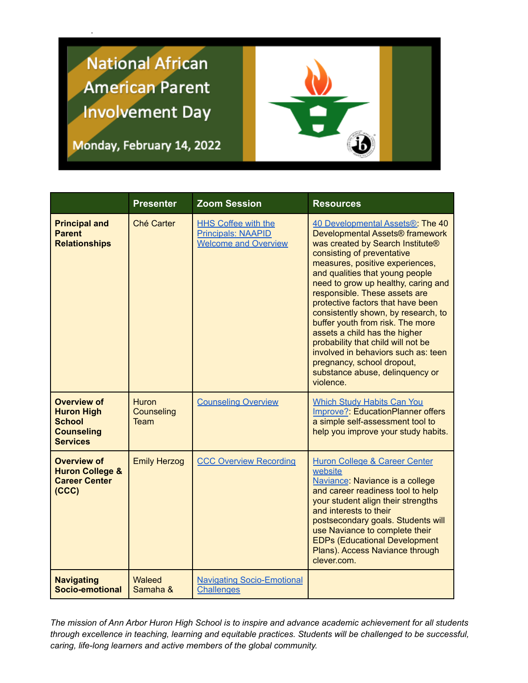## **National African American Parent Involvement Day**

Monday, February 14, 2022



|                                                                                                  | <b>Presenter</b>                                 | <b>Zoom Session</b>                                                                    | <b>Resources</b>                                                                                                                                                                                                                                                                                                                                                                                                                                                                                                                                                                                             |
|--------------------------------------------------------------------------------------------------|--------------------------------------------------|----------------------------------------------------------------------------------------|--------------------------------------------------------------------------------------------------------------------------------------------------------------------------------------------------------------------------------------------------------------------------------------------------------------------------------------------------------------------------------------------------------------------------------------------------------------------------------------------------------------------------------------------------------------------------------------------------------------|
| <b>Principal and</b><br><b>Parent</b><br><b>Relationships</b>                                    | Ché Carter                                       | <b>HHS Coffee with the</b><br><b>Principals: NAAPID</b><br><b>Welcome and Overview</b> | 40 Developmental Assets <sup>®</sup> . The 40<br>Developmental Assets® framework<br>was created by Search Institute®<br>consisting of preventative<br>measures, positive experiences,<br>and qualities that young people<br>need to grow up healthy, caring and<br>responsible. These assets are<br>protective factors that have been<br>consistently shown, by research, to<br>buffer youth from risk. The more<br>assets a child has the higher<br>probability that child will not be<br>involved in behaviors such as: teen<br>pregnancy, school dropout,<br>substance abuse, delinquency or<br>violence. |
| <b>Overview of</b><br><b>Huron High</b><br><b>School</b><br><b>Counseling</b><br><b>Services</b> | <b>Huron</b><br><b>Counseling</b><br><b>Team</b> | <b>Counseling Overview</b>                                                             | <b>Which Study Habits Can You</b><br>Improve?: EducationPlanner offers<br>a simple self-assessment tool to<br>help you improve your study habits.                                                                                                                                                                                                                                                                                                                                                                                                                                                            |
| <b>Overview of</b><br><b>Huron College &amp;</b><br><b>Career Center</b><br>(CCC)                | <b>Emily Herzog</b>                              | <b>CCC Overview Recording</b>                                                          | Huron College & Career Center<br>website<br>Naviance: Naviance is a college<br>and career readiness tool to help<br>your student align their strengths<br>and interests to their<br>postsecondary goals. Students will<br>use Naviance to complete their<br><b>EDPs (Educational Development</b><br>Plans). Access Naviance through<br>clever.com.                                                                                                                                                                                                                                                           |
| <b>Navigating</b><br>Socio-emotional                                                             | Waleed<br>Samaha &                               | <b>Navigating Socio-Emotional</b><br><b>Challenges</b>                                 |                                                                                                                                                                                                                                                                                                                                                                                                                                                                                                                                                                                                              |

The mission of Ann Arbor Huron High School is to inspire and advance academic achievement for all students *through excellence in teaching, learning and equitable practices. Students will be challenged to be successful, caring, life-long learners and active members of the global community.*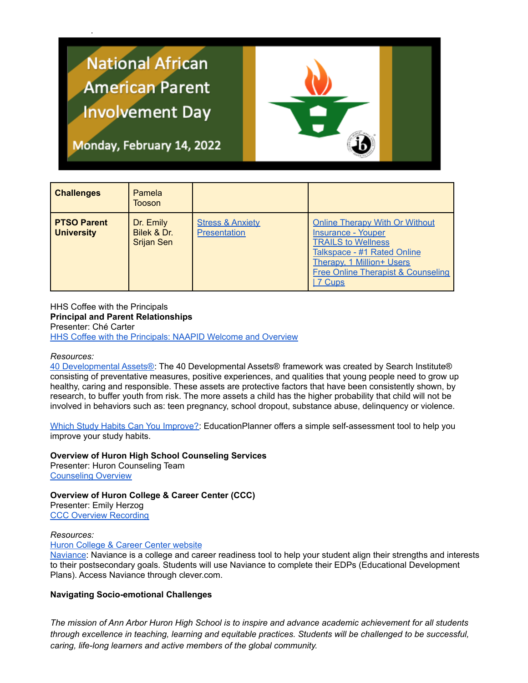# **National African American Parent Involvement Day**



Monday, February 14, 2022

| <b>Challenges</b>                       | Pamela<br>Tooson                              |                                                    |                                                                                                                                                                                                                    |
|-----------------------------------------|-----------------------------------------------|----------------------------------------------------|--------------------------------------------------------------------------------------------------------------------------------------------------------------------------------------------------------------------|
| <b>PTSO Parent</b><br><b>University</b> | Dr. Emily<br>Bilek & Dr.<br><b>Srijan Sen</b> | <b>Stress &amp; Anxiety</b><br><b>Presentation</b> | <b>Online Therapy With Or Without</b><br><b>Insurance - Youper</b><br><b>TRAILS to Wellness</b><br>Talkspace - #1 Rated Online<br><b>Therapy, 1 Million+ Users</b><br>Free Online Therapist & Counseling<br>7 Cups |

HHS Coffee with the Principals **Principal and Parent Relationships** Presenter: Ché Carter HHS Coffee with the [Principals:](https://a2schools.zoom.us/rec/share/RdXwXkDUi7828a32gOer7PweOV7rICadUTpL0yPIIYfXthbwxQH-q1cuS9ARWtdE.dsfeOFKFXRg8iB1h) NAAPID Welcome and Overview

#### *Resources:*

40 [Developmental](https://www.youtherie.com/the-assets) Assets®: The 40 Developmental Assets® framework was created by Search Institute® consisting of preventative measures, positive experiences, and qualities that young people need to grow up healthy, caring and responsible. These assets are protective factors that have been consistently shown, by research, to buffer youth from risk. The more assets a child has the higher probability that child will not be involved in behaviors such as: teen pregnancy, school dropout, substance abuse, delinquency or violence.

Which Study Habits Can You [Improve?:](http://www.educationplanner.org/students/self-assessments/improving-study-habits.shtml) EducationPlanner offers a simple self-assessment tool to help you improve your study habits.

**Overview of Huron High School Counseling Services** Presenter: Huron Counseling Team [Counseling](https://drive.google.com/file/d/10vPVIEZAxH15Sagj4qUHTi2YscFWWLsk/view?usp=sharing) Overview

**Overview of Huron College & Career Center (CCC)** Presenter: Emily Herzog CCC Overview [Recording](https://a2schools.zoom.us/rec/share/tNCSYbrEiyq3TQU2-hXJVmk9drsSAqnG_787Gi1QCUi2TH3xdAe6clDXlidg_d5V.Jc6dlyUvTKqp55Js?startTime=1644862066000)

#### *Resources:*

**Huron [College](https://huronccc.weebly.com/) & Career Center website** 

[Naviance:](https://clever.com/oauth/authorize?channel=clever&client_id=4c63c1cf623dce82caac&confirmed=true&district_id=55b104b5cef2d301000003c7&redirect_uri=https%3A%2F%2Fclever.com%2Fin%2Fauth_callback&response_type=code&state=ee46a954915d4981edf57964feaf76075e7b0ed89d089fb941d63a004ed9d7b6) Naviance is a college and career readiness tool to help your student align their strengths and interests to their postsecondary goals. Students will use Naviance to complete their EDPs (Educational Development Plans). Access Naviance through clever.com.

#### **Navigating Socio-emotional Challenges**

The mission of Ann Arbor Huron High School is to inspire and advance academic achievement for all students *through excellence in teaching, learning and equitable practices. Students will be challenged to be successful, caring, life-long learners and active members of the global community.*